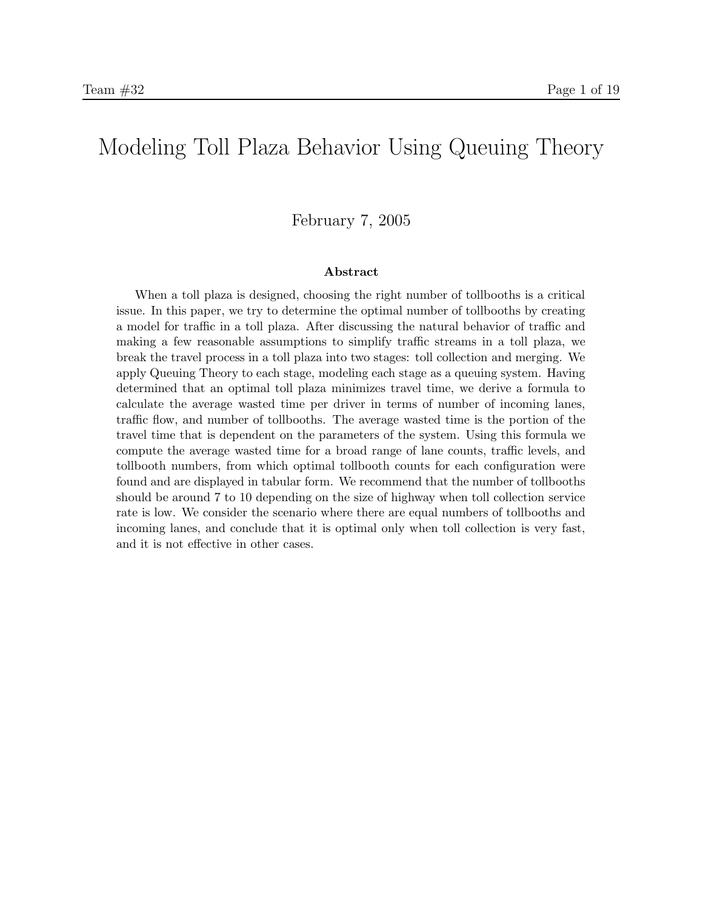# Modeling Toll Plaza Behavior Using Queuing Theory

#### February 7, 2005

#### Abstract

When a toll plaza is designed, choosing the right number of tollbooths is a critical issue. In this paper, we try to determine the optimal number of tollbooths by creating a model for traffic in a toll plaza. After discussing the natural behavior of traffic and making a few reasonable assumptions to simplify traffic streams in a toll plaza, we break the travel process in a toll plaza into two stages: toll collection and merging. We apply Queuing Theory to each stage, modeling each stage as a queuing system. Having determined that an optimal toll plaza minimizes travel time, we derive a formula to calculate the average wasted time per driver in terms of number of incoming lanes, traffic flow, and number of tollbooths. The average wasted time is the portion of the travel time that is dependent on the parameters of the system. Using this formula we compute the average wasted time for a broad range of lane counts, traffic levels, and tollbooth numbers, from which optimal tollbooth counts for each configuration were found and are displayed in tabular form. We recommend that the number of tollbooths should be around 7 to 10 depending on the size of highway when toll collection service rate is low. We consider the scenario where there are equal numbers of tollbooths and incoming lanes, and conclude that it is optimal only when toll collection is very fast, and it is not effective in other cases.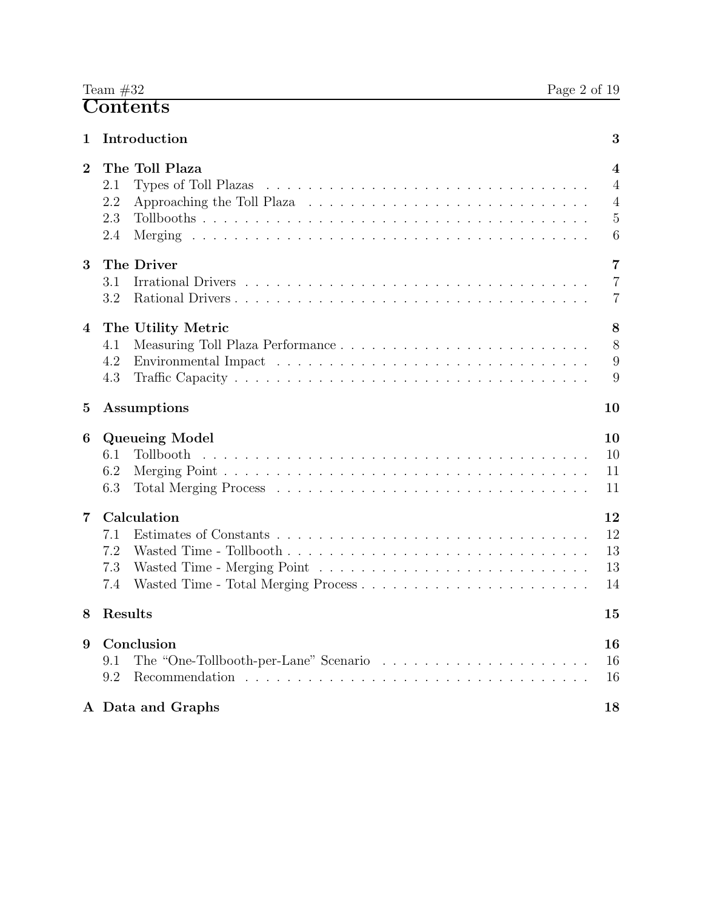| 1        | Introduction                                                                                                                                                                                                                                                                                                  | 3                                     |
|----------|---------------------------------------------------------------------------------------------------------------------------------------------------------------------------------------------------------------------------------------------------------------------------------------------------------------|---------------------------------------|
| $\bf{2}$ | The Toll Plaza<br>2.1<br>2.2<br>2.3<br>2.4                                                                                                                                                                                                                                                                    | 4<br>$\overline{4}$<br>4<br>5<br>6    |
| 3        | The Driver<br>3.1<br>3.2                                                                                                                                                                                                                                                                                      | $\overline{7}$<br>$\overline{7}$<br>7 |
| 4        | The Utility Metric<br>Measuring Toll Plaza Performance<br>4.1<br>Environmental Impact resources in the set of the set of the set of the set of the set of the set of the set of the set of the set of the set of the set of the set of the set of the set of the set of the set of the set of t<br>4.2<br>4.3 | 8<br>8<br>9<br>9                      |
| 5        | Assumptions                                                                                                                                                                                                                                                                                                   | 10                                    |
| 6        | Queueing Model<br>Tollbooth<br>6.1<br>6.2<br>6.3                                                                                                                                                                                                                                                              | 10<br>10<br>11<br>11                  |
| 7        | Calculation<br>7.1<br>7.2<br>7.3<br>7.4                                                                                                                                                                                                                                                                       | 12<br>12<br>13<br>13<br>14            |
| 8        | Results                                                                                                                                                                                                                                                                                                       | 15                                    |
| 9        | Conclusion<br>The "One-Tollbooth-per-Lane" Scenario<br>9.1<br>9.2                                                                                                                                                                                                                                             | 16<br>16<br>16                        |
|          | A Data and Graphs                                                                                                                                                                                                                                                                                             | 18                                    |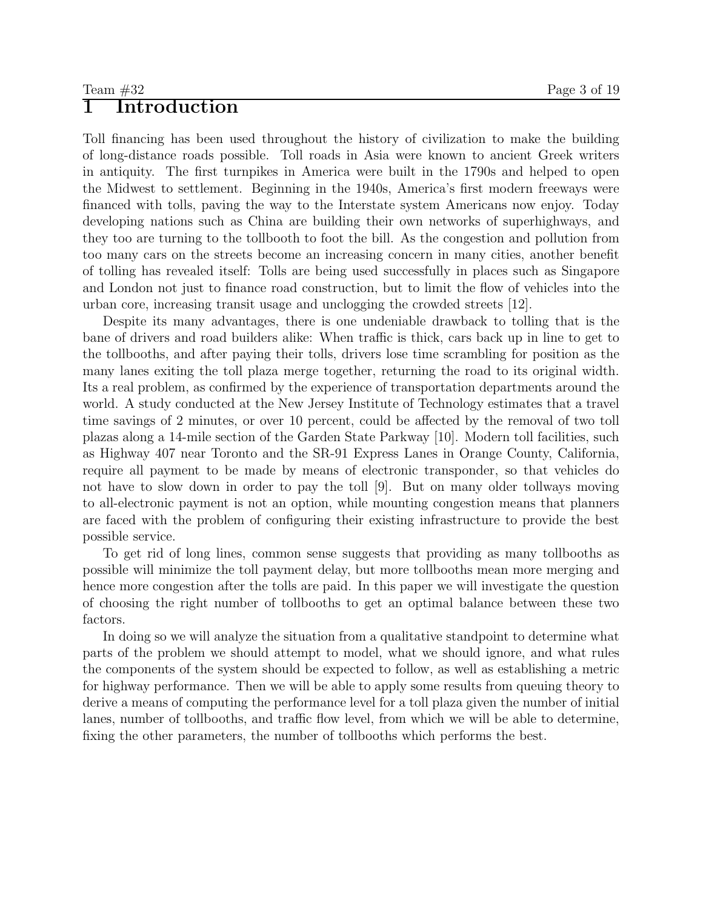## 1 Introduction

Toll financing has been used throughout the history of civilization to make the building of long-distance roads possible. Toll roads in Asia were known to ancient Greek writers in antiquity. The first turnpikes in America were built in the 1790s and helped to open the Midwest to settlement. Beginning in the 1940s, America's first modern freeways were financed with tolls, paving the way to the Interstate system Americans now enjoy. Today developing nations such as China are building their own networks of superhighways, and they too are turning to the tollbooth to foot the bill. As the congestion and pollution from too many cars on the streets become an increasing concern in many cities, another benefit of tolling has revealed itself: Tolls are being used successfully in places such as Singapore and London not just to finance road construction, but to limit the flow of vehicles into the urban core, increasing transit usage and unclogging the crowded streets [12].

Despite its many advantages, there is one undeniable drawback to tolling that is the bane of drivers and road builders alike: When traffic is thick, cars back up in line to get to the tollbooths, and after paying their tolls, drivers lose time scrambling for position as the many lanes exiting the toll plaza merge together, returning the road to its original width. Its a real problem, as confirmed by the experience of transportation departments around the world. A study conducted at the New Jersey Institute of Technology estimates that a travel time savings of 2 minutes, or over 10 percent, could be affected by the removal of two toll plazas along a 14-mile section of the Garden State Parkway [10]. Modern toll facilities, such as Highway 407 near Toronto and the SR-91 Express Lanes in Orange County, California, require all payment to be made by means of electronic transponder, so that vehicles do not have to slow down in order to pay the toll [9]. But on many older tollways moving to all-electronic payment is not an option, while mounting congestion means that planners are faced with the problem of configuring their existing infrastructure to provide the best possible service.

To get rid of long lines, common sense suggests that providing as many tollbooths as possible will minimize the toll payment delay, but more tollbooths mean more merging and hence more congestion after the tolls are paid. In this paper we will investigate the question of choosing the right number of tollbooths to get an optimal balance between these two factors.

In doing so we will analyze the situation from a qualitative standpoint to determine what parts of the problem we should attempt to model, what we should ignore, and what rules the components of the system should be expected to follow, as well as establishing a metric for highway performance. Then we will be able to apply some results from queuing theory to derive a means of computing the performance level for a toll plaza given the number of initial lanes, number of tollbooths, and traffic flow level, from which we will be able to determine, fixing the other parameters, the number of tollbooths which performs the best.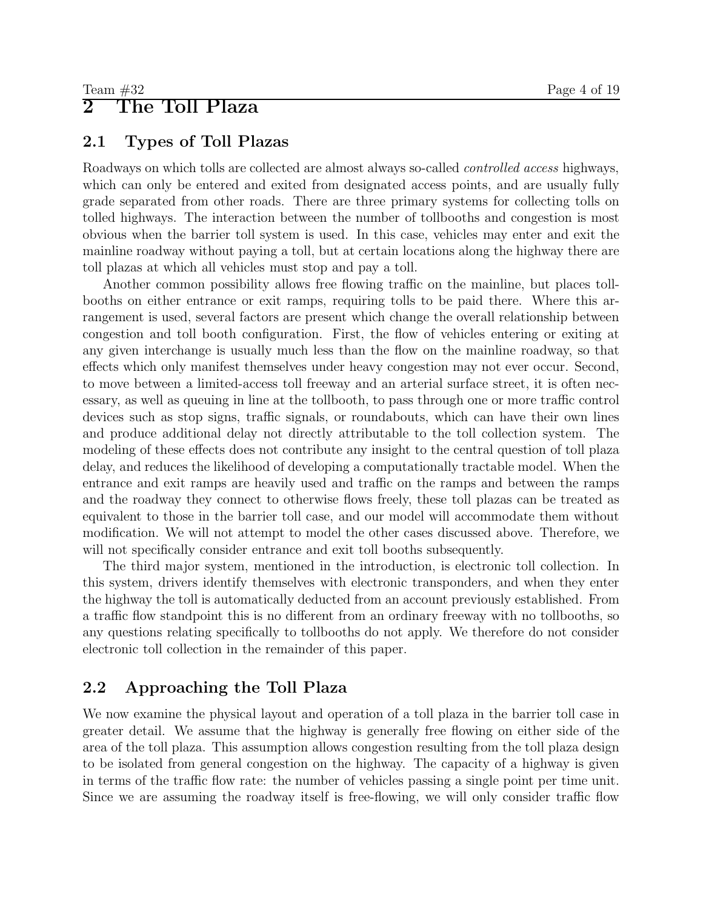## 2 The Toll Plaza

## 2.1 Types of Toll Plazas

Roadways on which tolls are collected are almost always so-called controlled access highways, which can only be entered and exited from designated access points, and are usually fully grade separated from other roads. There are three primary systems for collecting tolls on tolled highways. The interaction between the number of tollbooths and congestion is most obvious when the barrier toll system is used. In this case, vehicles may enter and exit the mainline roadway without paying a toll, but at certain locations along the highway there are toll plazas at which all vehicles must stop and pay a toll.

Another common possibility allows free flowing traffic on the mainline, but places tollbooths on either entrance or exit ramps, requiring tolls to be paid there. Where this arrangement is used, several factors are present which change the overall relationship between congestion and toll booth configuration. First, the flow of vehicles entering or exiting at any given interchange is usually much less than the flow on the mainline roadway, so that effects which only manifest themselves under heavy congestion may not ever occur. Second, to move between a limited-access toll freeway and an arterial surface street, it is often necessary, as well as queuing in line at the tollbooth, to pass through one or more traffic control devices such as stop signs, traffic signals, or roundabouts, which can have their own lines and produce additional delay not directly attributable to the toll collection system. The modeling of these effects does not contribute any insight to the central question of toll plaza delay, and reduces the likelihood of developing a computationally tractable model. When the entrance and exit ramps are heavily used and traffic on the ramps and between the ramps and the roadway they connect to otherwise flows freely, these toll plazas can be treated as equivalent to those in the barrier toll case, and our model will accommodate them without modification. We will not attempt to model the other cases discussed above. Therefore, we will not specifically consider entrance and exit toll booths subsequently.

The third major system, mentioned in the introduction, is electronic toll collection. In this system, drivers identify themselves with electronic transponders, and when they enter the highway the toll is automatically deducted from an account previously established. From a traffic flow standpoint this is no different from an ordinary freeway with no tollbooths, so any questions relating specifically to tollbooths do not apply. We therefore do not consider electronic toll collection in the remainder of this paper.

## 2.2 Approaching the Toll Plaza

We now examine the physical layout and operation of a toll plaza in the barrier toll case in greater detail. We assume that the highway is generally free flowing on either side of the area of the toll plaza. This assumption allows congestion resulting from the toll plaza design to be isolated from general congestion on the highway. The capacity of a highway is given in terms of the traffic flow rate: the number of vehicles passing a single point per time unit. Since we are assuming the roadway itself is free-flowing, we will only consider traffic flow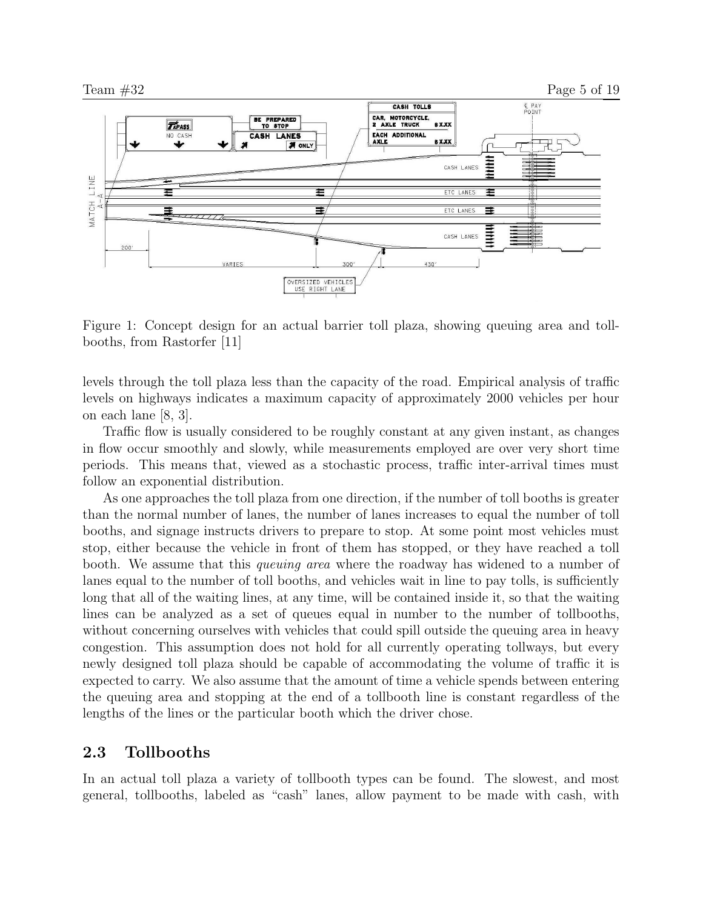

Figure 1: Concept design for an actual barrier toll plaza, showing queuing area and tollbooths, from Rastorfer [11]

levels through the toll plaza less than the capacity of the road. Empirical analysis of traffic levels on highways indicates a maximum capacity of approximately 2000 vehicles per hour on each lane [8, 3].

Traffic flow is usually considered to be roughly constant at any given instant, as changes in flow occur smoothly and slowly, while measurements employed are over very short time periods. This means that, viewed as a stochastic process, traffic inter-arrival times must follow an exponential distribution.

As one approaches the toll plaza from one direction, if the number of toll booths is greater than the normal number of lanes, the number of lanes increases to equal the number of toll booths, and signage instructs drivers to prepare to stop. At some point most vehicles must stop, either because the vehicle in front of them has stopped, or they have reached a toll booth. We assume that this *queuing area* where the roadway has widened to a number of lanes equal to the number of toll booths, and vehicles wait in line to pay tolls, is sufficiently long that all of the waiting lines, at any time, will be contained inside it, so that the waiting lines can be analyzed as a set of queues equal in number to the number of tollbooths, without concerning ourselves with vehicles that could spill outside the queuing area in heavy congestion. This assumption does not hold for all currently operating tollways, but every newly designed toll plaza should be capable of accommodating the volume of traffic it is expected to carry. We also assume that the amount of time a vehicle spends between entering the queuing area and stopping at the end of a tollbooth line is constant regardless of the lengths of the lines or the particular booth which the driver chose.

#### 2.3 Tollbooths

In an actual toll plaza a variety of tollbooth types can be found. The slowest, and most general, tollbooths, labeled as "cash" lanes, allow payment to be made with cash, with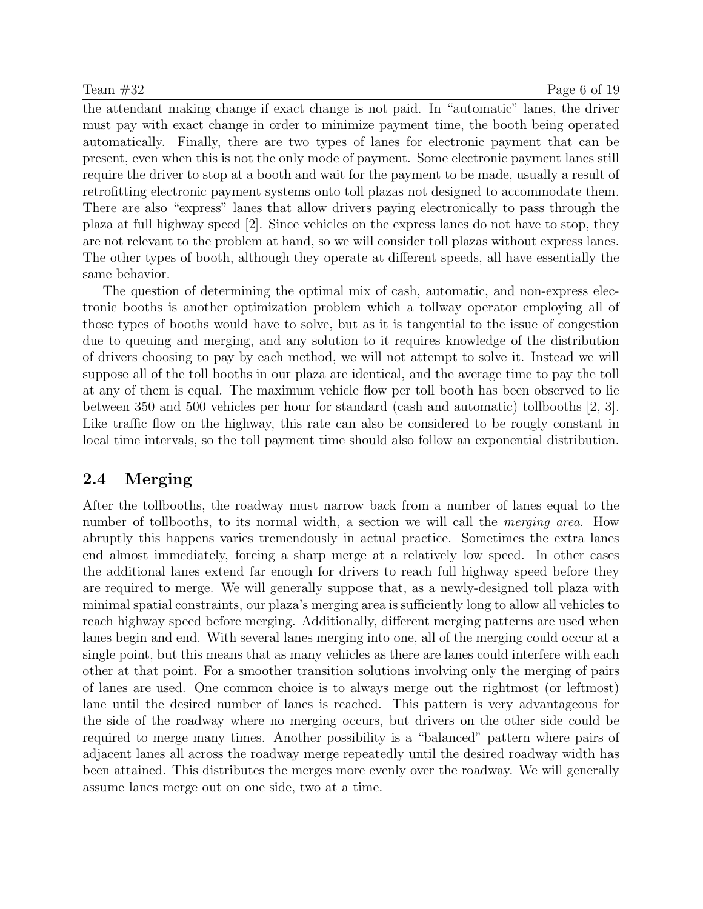the attendant making change if exact change is not paid. In "automatic" lanes, the driver must pay with exact change in order to minimize payment time, the booth being operated automatically. Finally, there are two types of lanes for electronic payment that can be present, even when this is not the only mode of payment. Some electronic payment lanes still require the driver to stop at a booth and wait for the payment to be made, usually a result of retrofitting electronic payment systems onto toll plazas not designed to accommodate them. There are also "express" lanes that allow drivers paying electronically to pass through the plaza at full highway speed [2]. Since vehicles on the express lanes do not have to stop, they are not relevant to the problem at hand, so we will consider toll plazas without express lanes. The other types of booth, although they operate at different speeds, all have essentially the same behavior.

The question of determining the optimal mix of cash, automatic, and non-express electronic booths is another optimization problem which a tollway operator employing all of those types of booths would have to solve, but as it is tangential to the issue of congestion due to queuing and merging, and any solution to it requires knowledge of the distribution of drivers choosing to pay by each method, we will not attempt to solve it. Instead we will suppose all of the toll booths in our plaza are identical, and the average time to pay the toll at any of them is equal. The maximum vehicle flow per toll booth has been observed to lie between 350 and 500 vehicles per hour for standard (cash and automatic) tollbooths [2, 3]. Like traffic flow on the highway, this rate can also be considered to be rougly constant in local time intervals, so the toll payment time should also follow an exponential distribution.

## 2.4 Merging

After the tollbooths, the roadway must narrow back from a number of lanes equal to the number of tollbooths, to its normal width, a section we will call the *merging area*. How abruptly this happens varies tremendously in actual practice. Sometimes the extra lanes end almost immediately, forcing a sharp merge at a relatively low speed. In other cases the additional lanes extend far enough for drivers to reach full highway speed before they are required to merge. We will generally suppose that, as a newly-designed toll plaza with minimal spatial constraints, our plaza's merging area is sufficiently long to allow all vehicles to reach highway speed before merging. Additionally, different merging patterns are used when lanes begin and end. With several lanes merging into one, all of the merging could occur at a single point, but this means that as many vehicles as there are lanes could interfere with each other at that point. For a smoother transition solutions involving only the merging of pairs of lanes are used. One common choice is to always merge out the rightmost (or leftmost) lane until the desired number of lanes is reached. This pattern is very advantageous for the side of the roadway where no merging occurs, but drivers on the other side could be required to merge many times. Another possibility is a "balanced" pattern where pairs of adjacent lanes all across the roadway merge repeatedly until the desired roadway width has been attained. This distributes the merges more evenly over the roadway. We will generally assume lanes merge out on one side, two at a time.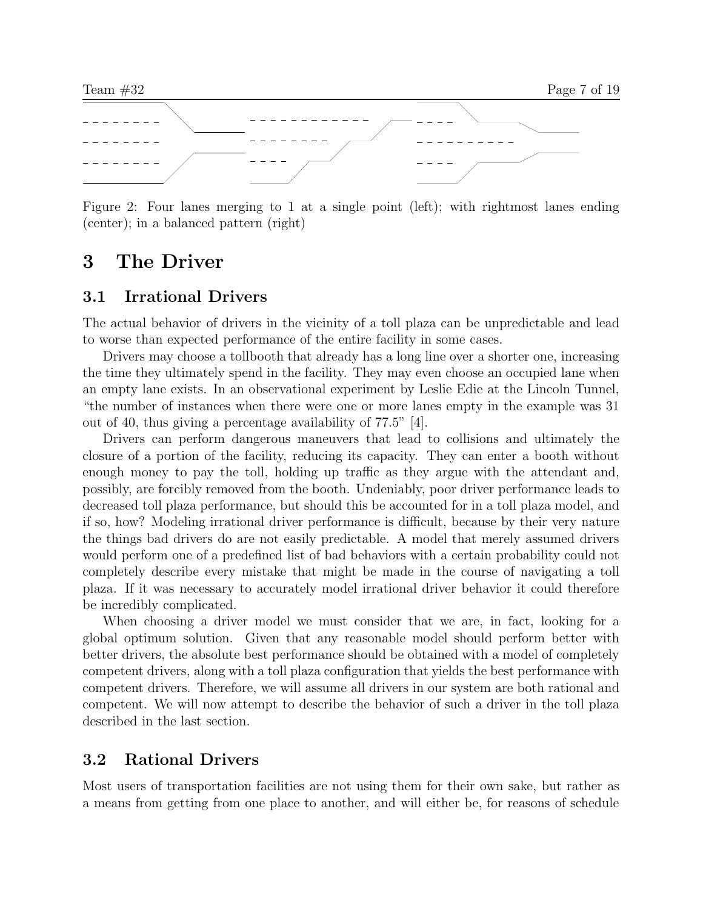

Figure 2: Four lanes merging to 1 at a single point (left); with rightmost lanes ending (center); in a balanced pattern (right)

## 3 The Driver

#### 3.1 Irrational Drivers

The actual behavior of drivers in the vicinity of a toll plaza can be unpredictable and lead to worse than expected performance of the entire facility in some cases.

Drivers may choose a tollbooth that already has a long line over a shorter one, increasing the time they ultimately spend in the facility. They may even choose an occupied lane when an empty lane exists. In an observational experiment by Leslie Edie at the Lincoln Tunnel, "the number of instances when there were one or more lanes empty in the example was 31 out of 40, thus giving a percentage availability of 77.5" [4].

Drivers can perform dangerous maneuvers that lead to collisions and ultimately the closure of a portion of the facility, reducing its capacity. They can enter a booth without enough money to pay the toll, holding up traffic as they argue with the attendant and, possibly, are forcibly removed from the booth. Undeniably, poor driver performance leads to decreased toll plaza performance, but should this be accounted for in a toll plaza model, and if so, how? Modeling irrational driver performance is difficult, because by their very nature the things bad drivers do are not easily predictable. A model that merely assumed drivers would perform one of a predefined list of bad behaviors with a certain probability could not completely describe every mistake that might be made in the course of navigating a toll plaza. If it was necessary to accurately model irrational driver behavior it could therefore be incredibly complicated.

When choosing a driver model we must consider that we are, in fact, looking for a global optimum solution. Given that any reasonable model should perform better with better drivers, the absolute best performance should be obtained with a model of completely competent drivers, along with a toll plaza configuration that yields the best performance with competent drivers. Therefore, we will assume all drivers in our system are both rational and competent. We will now attempt to describe the behavior of such a driver in the toll plaza described in the last section.

#### 3.2 Rational Drivers

Most users of transportation facilities are not using them for their own sake, but rather as a means from getting from one place to another, and will either be, for reasons of schedule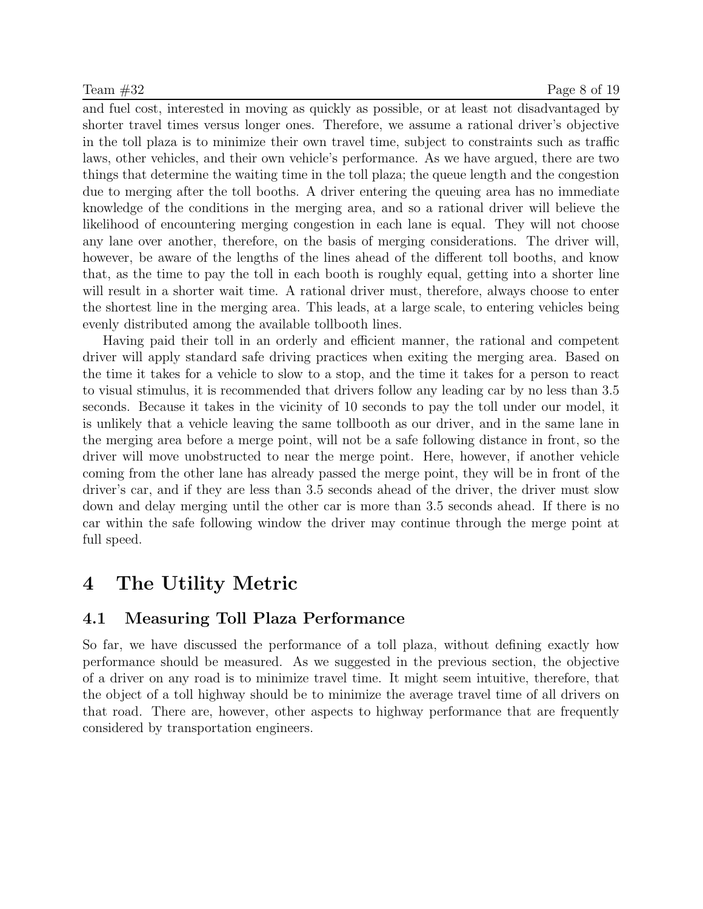and fuel cost, interested in moving as quickly as possible, or at least not disadvantaged by shorter travel times versus longer ones. Therefore, we assume a rational driver's objective in the toll plaza is to minimize their own travel time, subject to constraints such as traffic laws, other vehicles, and their own vehicle's performance. As we have argued, there are two things that determine the waiting time in the toll plaza; the queue length and the congestion due to merging after the toll booths. A driver entering the queuing area has no immediate knowledge of the conditions in the merging area, and so a rational driver will believe the likelihood of encountering merging congestion in each lane is equal. They will not choose any lane over another, therefore, on the basis of merging considerations. The driver will, however, be aware of the lengths of the lines ahead of the different toll booths, and know that, as the time to pay the toll in each booth is roughly equal, getting into a shorter line will result in a shorter wait time. A rational driver must, therefore, always choose to enter the shortest line in the merging area. This leads, at a large scale, to entering vehicles being evenly distributed among the available tollbooth lines.

Having paid their toll in an orderly and efficient manner, the rational and competent driver will apply standard safe driving practices when exiting the merging area. Based on the time it takes for a vehicle to slow to a stop, and the time it takes for a person to react to visual stimulus, it is recommended that drivers follow any leading car by no less than 3.5 seconds. Because it takes in the vicinity of 10 seconds to pay the toll under our model, it is unlikely that a vehicle leaving the same tollbooth as our driver, and in the same lane in the merging area before a merge point, will not be a safe following distance in front, so the driver will move unobstructed to near the merge point. Here, however, if another vehicle coming from the other lane has already passed the merge point, they will be in front of the driver's car, and if they are less than 3.5 seconds ahead of the driver, the driver must slow down and delay merging until the other car is more than 3.5 seconds ahead. If there is no car within the safe following window the driver may continue through the merge point at full speed.

## 4 The Utility Metric

### 4.1 Measuring Toll Plaza Performance

So far, we have discussed the performance of a toll plaza, without defining exactly how performance should be measured. As we suggested in the previous section, the objective of a driver on any road is to minimize travel time. It might seem intuitive, therefore, that the object of a toll highway should be to minimize the average travel time of all drivers on that road. There are, however, other aspects to highway performance that are frequently considered by transportation engineers.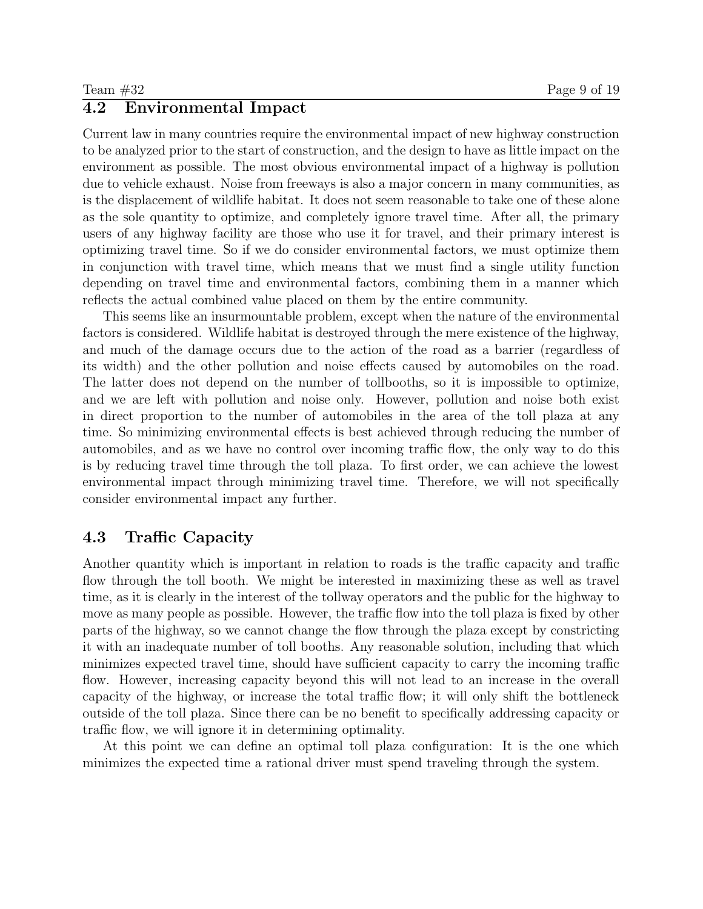#### 4.2 Environmental Impact

Current law in many countries require the environmental impact of new highway construction to be analyzed prior to the start of construction, and the design to have as little impact on the environment as possible. The most obvious environmental impact of a highway is pollution due to vehicle exhaust. Noise from freeways is also a major concern in many communities, as is the displacement of wildlife habitat. It does not seem reasonable to take one of these alone as the sole quantity to optimize, and completely ignore travel time. After all, the primary users of any highway facility are those who use it for travel, and their primary interest is optimizing travel time. So if we do consider environmental factors, we must optimize them in conjunction with travel time, which means that we must find a single utility function depending on travel time and environmental factors, combining them in a manner which reflects the actual combined value placed on them by the entire community.

This seems like an insurmountable problem, except when the nature of the environmental factors is considered. Wildlife habitat is destroyed through the mere existence of the highway, and much of the damage occurs due to the action of the road as a barrier (regardless of its width) and the other pollution and noise effects caused by automobiles on the road. The latter does not depend on the number of tollbooths, so it is impossible to optimize, and we are left with pollution and noise only. However, pollution and noise both exist in direct proportion to the number of automobiles in the area of the toll plaza at any time. So minimizing environmental effects is best achieved through reducing the number of automobiles, and as we have no control over incoming traffic flow, the only way to do this is by reducing travel time through the toll plaza. To first order, we can achieve the lowest environmental impact through minimizing travel time. Therefore, we will not specifically consider environmental impact any further.

### 4.3 Traffic Capacity

Another quantity which is important in relation to roads is the traffic capacity and traffic flow through the toll booth. We might be interested in maximizing these as well as travel time, as it is clearly in the interest of the tollway operators and the public for the highway to move as many people as possible. However, the traffic flow into the toll plaza is fixed by other parts of the highway, so we cannot change the flow through the plaza except by constricting it with an inadequate number of toll booths. Any reasonable solution, including that which minimizes expected travel time, should have sufficient capacity to carry the incoming traffic flow. However, increasing capacity beyond this will not lead to an increase in the overall capacity of the highway, or increase the total traffic flow; it will only shift the bottleneck outside of the toll plaza. Since there can be no benefit to specifically addressing capacity or traffic flow, we will ignore it in determining optimality.

At this point we can define an optimal toll plaza configuration: It is the one which minimizes the expected time a rational driver must spend traveling through the system.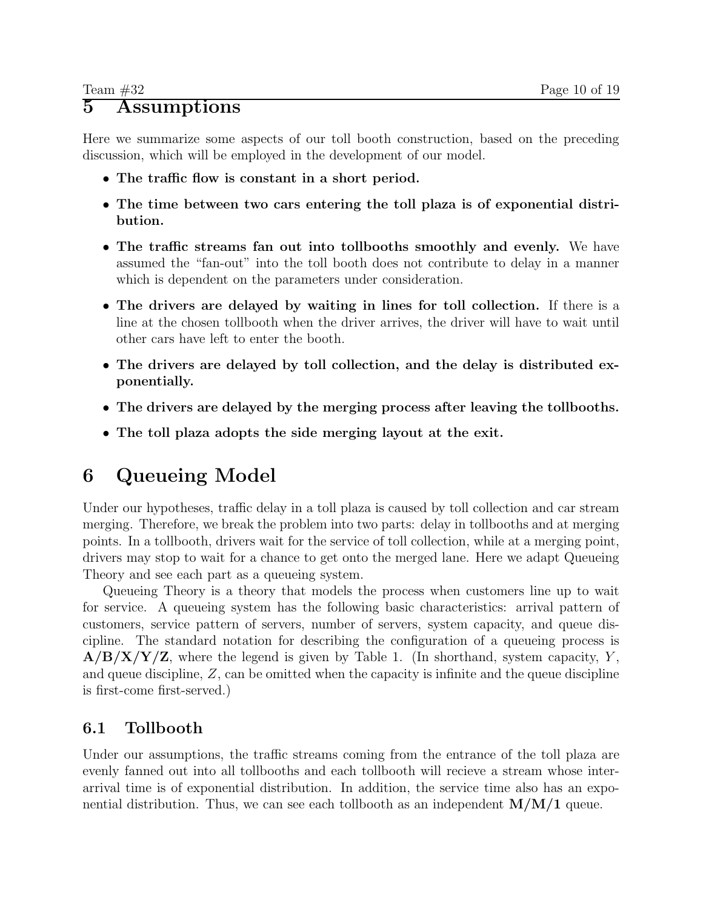## 5 Assumptions

Here we summarize some aspects of our toll booth construction, based on the preceding discussion, which will be employed in the development of our model.

- The traffic flow is constant in a short period.
- The time between two cars entering the toll plaza is of exponential distribution.
- The traffic streams fan out into tollbooths smoothly and evenly. We have assumed the "fan-out" into the toll booth does not contribute to delay in a manner which is dependent on the parameters under consideration.
- The drivers are delayed by waiting in lines for toll collection. If there is a line at the chosen tollbooth when the driver arrives, the driver will have to wait until other cars have left to enter the booth.
- The drivers are delayed by toll collection, and the delay is distributed exponentially.
- The drivers are delayed by the merging process after leaving the tollbooths.
- The toll plaza adopts the side merging layout at the exit.

## 6 Queueing Model

Under our hypotheses, traffic delay in a toll plaza is caused by toll collection and car stream merging. Therefore, we break the problem into two parts: delay in tollbooths and at merging points. In a tollbooth, drivers wait for the service of toll collection, while at a merging point, drivers may stop to wait for a chance to get onto the merged lane. Here we adapt Queueing Theory and see each part as a queueing system.

Queueing Theory is a theory that models the process when customers line up to wait for service. A queueing system has the following basic characteristics: arrival pattern of customers, service pattern of servers, number of servers, system capacity, and queue discipline. The standard notation for describing the configuration of a queueing process is  $A/B/X/Y/Z$ , where the legend is given by Table 1. (In shorthand, system capacity, Y, and queue discipline,  $Z$ , can be omitted when the capacity is infinite and the queue discipline is first-come first-served.)

## 6.1 Tollbooth

Under our assumptions, the traffic streams coming from the entrance of the toll plaza are evenly fanned out into all tollbooths and each tollbooth will recieve a stream whose interarrival time is of exponential distribution. In addition, the service time also has an exponential distribution. Thus, we can see each tollbooth as an independent  $M/M/1$  queue.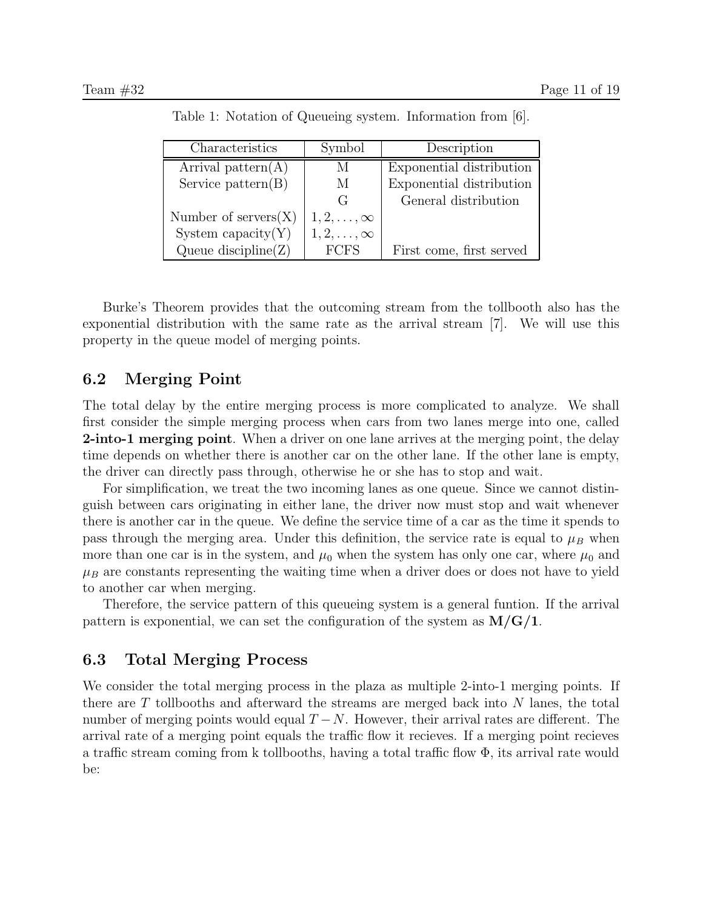| Characteristics            | Symbol                 | Description              |
|----------------------------|------------------------|--------------------------|
| Arrival pattern $(A)$      |                        | Exponential distribution |
| Service $pattern(B)$       | M                      | Exponential distribution |
|                            | ( ⊹                    | General distribution     |
| Number of $s$ ervers $(X)$ | $1, 2, \ldots, \infty$ |                          |
| System capacity $(Y)$      | $1, 2, \ldots, \infty$ |                          |
| Queue discipline $(Z)$     | <b>FCFS</b>            | First come, first served |

Table 1: Notation of Queueing system. Information from [6].

Burke's Theorem provides that the outcoming stream from the tollbooth also has the exponential distribution with the same rate as the arrival stream [7]. We will use this property in the queue model of merging points.

## 6.2 Merging Point

The total delay by the entire merging process is more complicated to analyze. We shall first consider the simple merging process when cars from two lanes merge into one, called **2-into-1 merging point.** When a driver on one lane arrives at the merging point, the delay time depends on whether there is another car on the other lane. If the other lane is empty, the driver can directly pass through, otherwise he or she has to stop and wait.

For simplification, we treat the two incoming lanes as one queue. Since we cannot distinguish between cars originating in either lane, the driver now must stop and wait whenever there is another car in the queue. We define the service time of a car as the time it spends to pass through the merging area. Under this definition, the service rate is equal to  $\mu_B$  when more than one car is in the system, and  $\mu_0$  when the system has only one car, where  $\mu_0$  and  $\mu_B$  are constants representing the waiting time when a driver does or does not have to yield to another car when merging.

Therefore, the service pattern of this queueing system is a general funtion. If the arrival pattern is exponential, we can set the configuration of the system as  $M/G/1$ .

### 6.3 Total Merging Process

We consider the total merging process in the plaza as multiple 2-into-1 merging points. If there are T tollbooths and afterward the streams are merged back into N lanes, the total number of merging points would equal  $T - N$ . However, their arrival rates are different. The arrival rate of a merging point equals the traffic flow it recieves. If a merging point recieves a traffic stream coming from k tollbooths, having a total traffic flow  $\Phi$ , its arrival rate would be: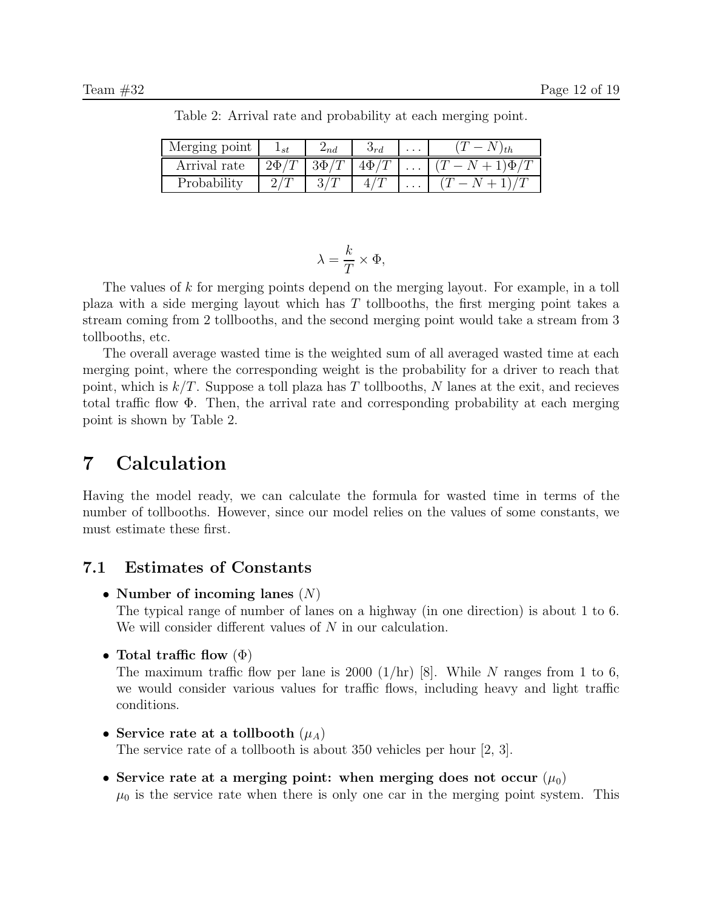| Merging point | $_{1st}$  | $-nd$     | Umd              | .        |                  |
|---------------|-----------|-----------|------------------|----------|------------------|
| Arrival rate  | $2\Phi/T$ | $3\Phi/T$ | $\Delta$ (b) $T$ |          | $1$ ) $\Phi$ /'. |
| Probability   |           | $\Omega$  |                  | $\cdots$ |                  |

Table 2: Arrival rate and probability at each merging point.

$$
\lambda = \frac{k}{T} \times \Phi,
$$

The values of k for merging points depend on the merging layout. For example, in a toll plaza with a side merging layout which has T tollbooths, the first merging point takes a stream coming from 2 tollbooths, and the second merging point would take a stream from 3 tollbooths, etc.

The overall average wasted time is the weighted sum of all averaged wasted time at each merging point, where the corresponding weight is the probability for a driver to reach that point, which is  $k/T$ . Suppose a toll plaza has T tollbooths, N lanes at the exit, and recieves total traffic flow Φ. Then, the arrival rate and corresponding probability at each merging point is shown by Table 2.

## 7 Calculation

Having the model ready, we can calculate the formula for wasted time in terms of the number of tollbooths. However, since our model relies on the values of some constants, we must estimate these first.

## 7.1 Estimates of Constants

• Number of incoming lanes  $(N)$ 

The typical range of number of lanes on a highway (in one direction) is about 1 to 6. We will consider different values of N in our calculation.

• Total traffic flow  $(\Phi)$ 

The maximum traffic flow per lane is 2000  $(1/hr)$  [8]. While N ranges from 1 to 6, we would consider various values for traffic flows, including heavy and light traffic conditions.

• Service rate at a tollbooth  $(\mu_A)$ 

The service rate of a tollbooth is about 350 vehicles per hour [2, 3].

• Service rate at a merging point: when merging does not occur  $(\mu_0)$  $\mu_0$  is the service rate when there is only one car in the merging point system. This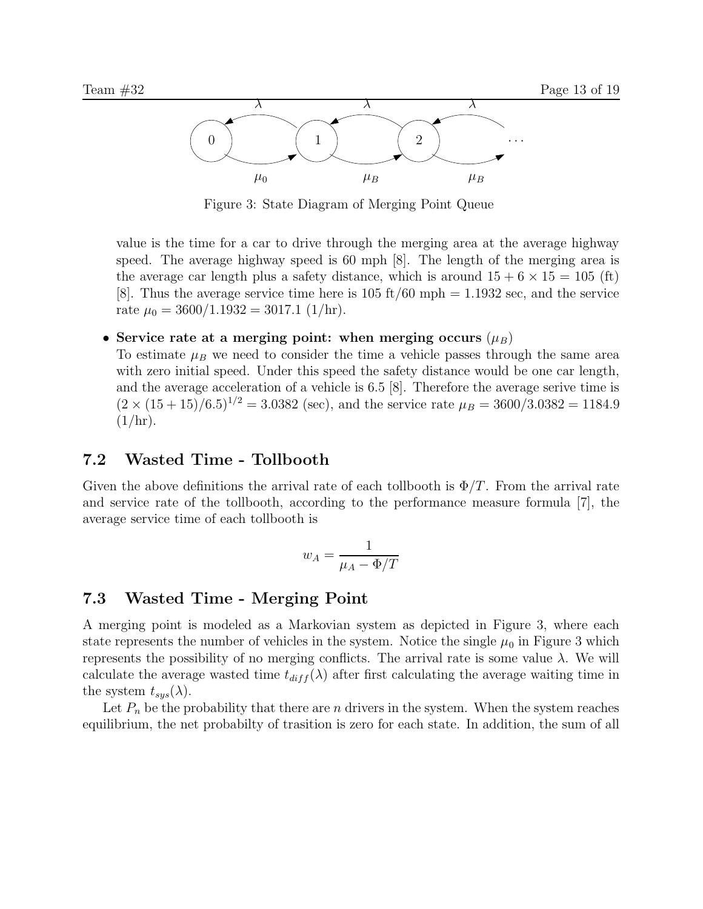

Figure 3: State Diagram of Merging Point Queue

value is the time for a car to drive through the merging area at the average highway speed. The average highway speed is 60 mph [8]. The length of the merging area is the average car length plus a safety distance, which is around  $15 + 6 \times 15 = 105$  (ft) [8]. Thus the average service time here is  $105 \text{ ft}/60 \text{ mph} = 1.1932 \text{ sec}$ , and the service rate  $\mu_0 = 3600/1.1932 = 3017.1$  (1/hr).

#### • Service rate at a merging point: when merging occurs  $(\mu_B)$

To estimate  $\mu_B$  we need to consider the time a vehicle passes through the same area with zero initial speed. Under this speed the safety distance would be one car length, and the average acceleration of a vehicle is 6.5 [8]. Therefore the average serive time is  $(2 \times (15 + 15)/6.5)^{1/2} = 3.0382$  (sec), and the service rate  $\mu_B = 3600/3.0382 = 1184.9$  $(1/hr)$ .

## 7.2 Wasted Time - Tollbooth

Given the above definitions the arrival rate of each tollbooth is  $\Phi/T$ . From the arrival rate and service rate of the tollbooth, according to the performance measure formula [7], the average service time of each tollbooth is

$$
w_A = \frac{1}{\mu_A - \Phi/T}
$$

## 7.3 Wasted Time - Merging Point

A merging point is modeled as a Markovian system as depicted in Figure 3, where each state represents the number of vehicles in the system. Notice the single  $\mu_0$  in Figure 3 which represents the possibility of no merging conflicts. The arrival rate is some value λ. We will calculate the average wasted time  $t_{diff}(\lambda)$  after first calculating the average waiting time in the system  $t_{sys}(\lambda)$ .

Let  $P_n$  be the probability that there are n drivers in the system. When the system reaches equilibrium, the net probabilty of trasition is zero for each state. In addition, the sum of all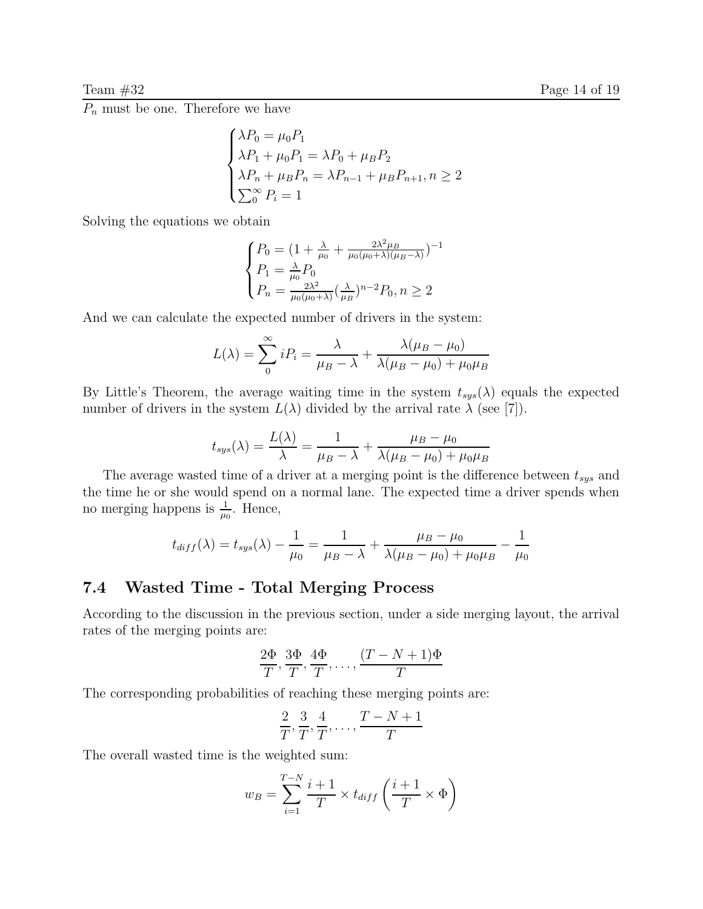$\overline{P_n}$  must be one. Therefore we have

$$
\begin{cases}\n\lambda P_0 = \mu_0 P_1 \\
\lambda P_1 + \mu_0 P_1 = \lambda P_0 + \mu_B P_2 \\
\lambda P_n + \mu_B P_n = \lambda P_{n-1} + \mu_B P_{n+1}, n \ge 2 \\
\sum_{0}^{\infty} P_i = 1\n\end{cases}
$$

Solving the equations we obtain

$$
\begin{cases}\nP_0 = (1 + \frac{\lambda}{\mu_0} + \frac{2\lambda^2 \mu_B}{\mu_0(\mu_0 + \lambda)(\mu_B - \lambda)})^{-1} \\
P_1 = \frac{\lambda}{\mu_0} P_0 \\
P_n = \frac{2\lambda^2}{\mu_0(\mu_0 + \lambda)} (\frac{\lambda}{\mu_B})^{n-2} P_0, n \ge 2\n\end{cases}
$$

And we can calculate the expected number of drivers in the system:

$$
L(\lambda) = \sum_{0}^{\infty} iP_i = \frac{\lambda}{\mu_B - \lambda} + \frac{\lambda(\mu_B - \mu_0)}{\lambda(\mu_B - \mu_0) + \mu_0\mu_B}
$$

By Little's Theorem, the average waiting time in the system  $t_{sys}(\lambda)$  equals the expected number of drivers in the system  $L(\lambda)$  divided by the arrival rate  $\lambda$  (see [7]).

$$
t_{sys}(\lambda) = \frac{L(\lambda)}{\lambda} = \frac{1}{\mu_B - \lambda} + \frac{\mu_B - \mu_0}{\lambda(\mu_B - \mu_0) + \mu_0 \mu_B}
$$

The average wasted time of a driver at a merging point is the difference between  $t_{sys}$  and the time he or she would spend on a normal lane. The expected time a driver spends when no merging happens is  $\frac{1}{\mu_0}$ . Hence,

$$
t_{diff}(\lambda) = t_{sys}(\lambda) - \frac{1}{\mu_0} = \frac{1}{\mu_B - \lambda} + \frac{\mu_B - \mu_0}{\lambda(\mu_B - \mu_0) + \mu_0 \mu_B} - \frac{1}{\mu_0}
$$

#### 7.4 Wasted Time - Total Merging Process

According to the discussion in the previous section, under a side merging layout, the arrival rates of the merging points are:

$$
\frac{2\Phi}{T}, \frac{3\Phi}{T}, \frac{4\Phi}{T}, \dots, \frac{(T-N+1)\Phi}{T}
$$

The corresponding probabilities of reaching these merging points are:

$$
\frac{2}{T}, \frac{3}{T}, \frac{4}{T}, \dots, \frac{T-N+1}{T}
$$

The overall wasted time is the weighted sum:

$$
w_B = \sum_{i=1}^{T-N} \frac{i+1}{T} \times t_{diff} \left(\frac{i+1}{T} \times \Phi\right)
$$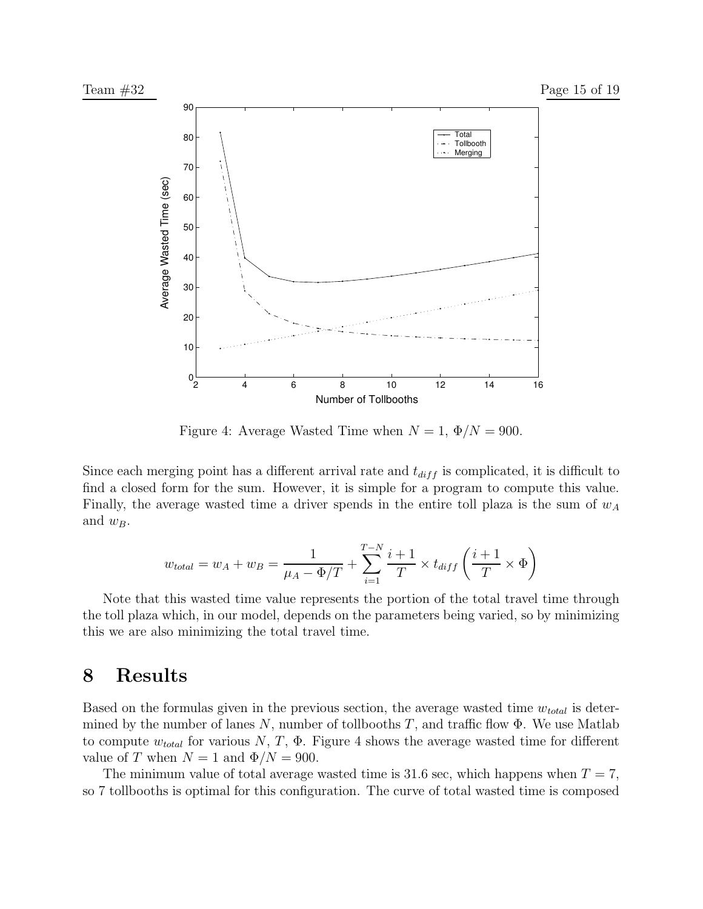

Figure 4: Average Wasted Time when  $N = 1$ ,  $\Phi/N = 900$ .

Since each merging point has a different arrival rate and  $t_{diff}$  is complicated, it is difficult to find a closed form for the sum. However, it is simple for a program to compute this value. Finally, the average wasted time a driver spends in the entire toll plaza is the sum of  $w_A$ and  $w_B$ .

$$
w_{total} = w_A + w_B = \frac{1}{\mu_A - \Phi/T} + \sum_{i=1}^{T-N} \frac{i+1}{T} \times t_{diff} \left(\frac{i+1}{T} \times \Phi\right)
$$

Note that this wasted time value represents the portion of the total travel time through the toll plaza which, in our model, depends on the parameters being varied, so by minimizing this we are also minimizing the total travel time.

## 8 Results

Based on the formulas given in the previous section, the average wasted time  $w_{total}$  is determined by the number of lanes  $N$ , number of tollbooths  $T$ , and traffic flow  $\Phi$ . We use Matlab to compute  $w_{total}$  for various  $N, T, \Phi$ . Figure 4 shows the average wasted time for different value of T when  $N = 1$  and  $\Phi/N = 900$ .

The minimum value of total average wasted time is 31.6 sec, which happens when  $T = 7$ , so 7 tollbooths is optimal for this configuration. The curve of total wasted time is composed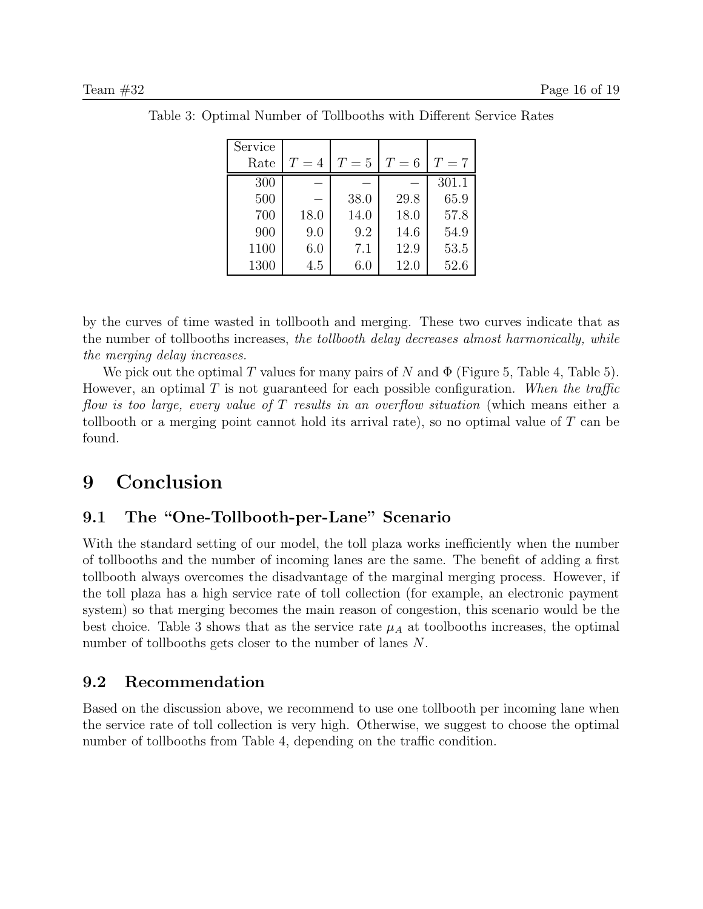| Service |       |       |       |       |
|---------|-------|-------|-------|-------|
| Rate    | $T=4$ | $T=5$ | $T=6$ | $T=7$ |
| 300     |       |       |       | 301.1 |
| 500     |       | 38.0  | 29.8  | 65.9  |
| 700     | 18.0  | 14.0  | 18.0  | 57.8  |
| 900     | 9.0   | 9.2   | 14.6  | 54.9  |
| 1100    | 6.0   | 7.1   | 12.9  | 53.5  |
| 1300    | 4.5   | 6.0   | 12.0  | 52.6  |

Table 3: Optimal Number of Tollbooths with Different Service Rates

by the curves of time wasted in tollbooth and merging. These two curves indicate that as the number of tollbooths increases, the tollbooth delay decreases almost harmonically, while the merging delay increases.

We pick out the optimal T values for many pairs of N and  $\Phi$  (Figure 5, Table 4, Table 5). However, an optimal T is not guaranteed for each possible configuration. When the traffic flow is too large, every value of T results in an overflow situation (which means either a tollbooth or a merging point cannot hold its arrival rate), so no optimal value of T can be found.

## 9 Conclusion

## 9.1 The "One-Tollbooth-per-Lane" Scenario

With the standard setting of our model, the toll plaza works inefficiently when the number of tollbooths and the number of incoming lanes are the same. The benefit of adding a first tollbooth always overcomes the disadvantage of the marginal merging process. However, if the toll plaza has a high service rate of toll collection (for example, an electronic payment system) so that merging becomes the main reason of congestion, this scenario would be the best choice. Table 3 shows that as the service rate  $\mu_A$  at toolbooths increases, the optimal number of tollbooths gets closer to the number of lanes N.

## 9.2 Recommendation

Based on the discussion above, we recommend to use one tollbooth per incoming lane when the service rate of toll collection is very high. Otherwise, we suggest to choose the optimal number of tollbooths from Table 4, depending on the traffic condition.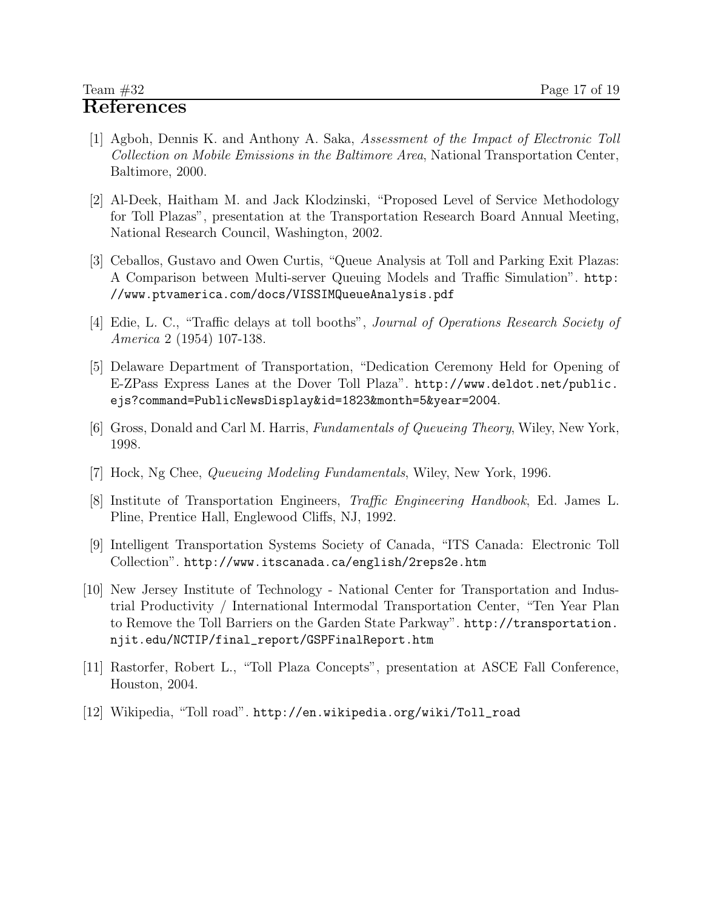- [1] Agboh, Dennis K. and Anthony A. Saka, Assessment of the Impact of Electronic Toll Collection on Mobile Emissions in the Baltimore Area, National Transportation Center, Baltimore, 2000.
- [2] Al-Deek, Haitham M. and Jack Klodzinski, "Proposed Level of Service Methodology for Toll Plazas", presentation at the Transportation Research Board Annual Meeting, National Research Council, Washington, 2002.
- [3] Ceballos, Gustavo and Owen Curtis, "Queue Analysis at Toll and Parking Exit Plazas: A Comparison between Multi-server Queuing Models and Traffic Simulation". http: //www.ptvamerica.com/docs/VISSIMQueueAnalysis.pdf
- [4] Edie, L. C., "Traffic delays at toll booths", Journal of Operations Research Society of America 2 (1954) 107-138.
- [5] Delaware Department of Transportation, "Dedication Ceremony Held for Opening of E-ZPass Express Lanes at the Dover Toll Plaza". http://www.deldot.net/public. ejs?command=PublicNewsDisplay&id=1823&month=5&year=2004.
- [6] Gross, Donald and Carl M. Harris, Fundamentals of Queueing Theory, Wiley, New York, 1998.
- [7] Hock, Ng Chee, Queueing Modeling Fundamentals, Wiley, New York, 1996.
- [8] Institute of Transportation Engineers, Traffic Engineering Handbook, Ed. James L. Pline, Prentice Hall, Englewood Cliffs, NJ, 1992.
- [9] Intelligent Transportation Systems Society of Canada, "ITS Canada: Electronic Toll Collection". http://www.itscanada.ca/english/2reps2e.htm
- [10] New Jersey Institute of Technology National Center for Transportation and Industrial Productivity / International Intermodal Transportation Center, "Ten Year Plan to Remove the Toll Barriers on the Garden State Parkway". http://transportation. njit.edu/NCTIP/final\_report/GSPFinalReport.htm
- [11] Rastorfer, Robert L., "Toll Plaza Concepts", presentation at ASCE Fall Conference, Houston, 2004.
- [12] Wikipedia, "Toll road". http://en.wikipedia.org/wiki/Toll\_road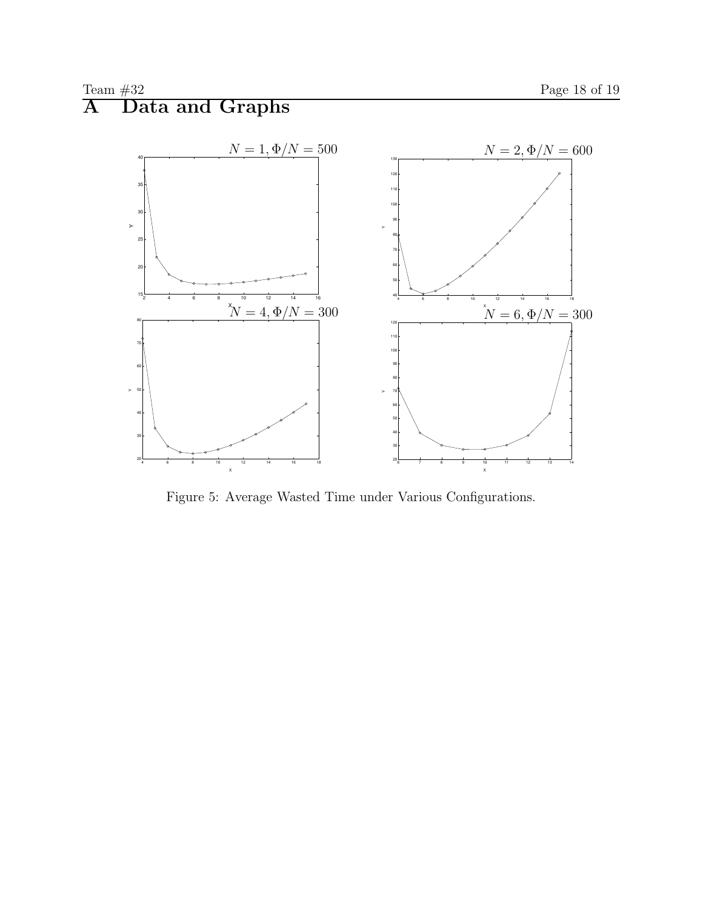

Figure 5: Average Wasted Time under Various Configurations.